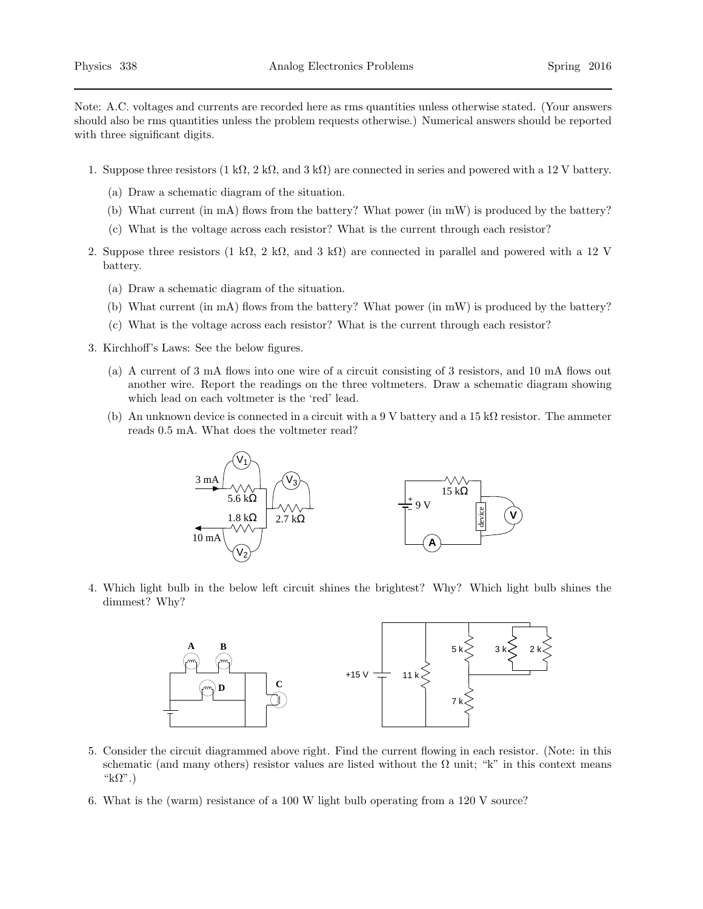Note: A.C. voltages and currents are recorded here as rms quantities unless otherwise stated. (Your answers should also be rms quantities unless the problem requests otherwise.) Numerical answers should be reported with three significant digits.

- 1. Suppose three resistors  $(1 \text{ k}\Omega, 2 \text{ k}\Omega, \text{ and } 3 \text{ k}\Omega)$  are connected in series and powered with a 12 V battery.
	- (a) Draw a schematic diagram of the situation.
	- (b) What current (in mA) flows from the battery? What power (in mW) is produced by the battery?
	- (c) What is the voltage across each resistor? What is the current through each resistor?
- 2. Suppose three resistors (1 kΩ, 2 kΩ, and 3 kΩ) are connected in parallel and powered with a 12 V battery.
	- (a) Draw a schematic diagram of the situation.
	- (b) What current (in mA) flows from the battery? What power (in mW) is produced by the battery?
	- (c) What is the voltage across each resistor? What is the current through each resistor?
- 3. Kirchhoff's Laws: See the below figures.
	- (a) A current of 3 mA flows into one wire of a circuit consisting of 3 resistors, and 10 mA flows out another wire. Report the readings on the three voltmeters. Draw a schematic diagram showing which lead on each voltmeter is the 'red' lead.
	- (b) An unknown device is connected in a circuit with a 9 V battery and a  $15 \text{ k}\Omega$  resistor. The ammeter reads 0.5 mA. What does the voltmeter read?



4. Which light bulb in the below left circuit shines the brightest? Why? Which light bulb shines the dimmest? Why?



- 5. Consider the circuit diagrammed above right. Find the current flowing in each resistor. (Note: in this schematic (and many others) resistor values are listed without the  $\Omega$  unit; "k" in this context means " $k\Omega$ ".)
- 6. What is the (warm) resistance of a 100 W light bulb operating from a 120 V source?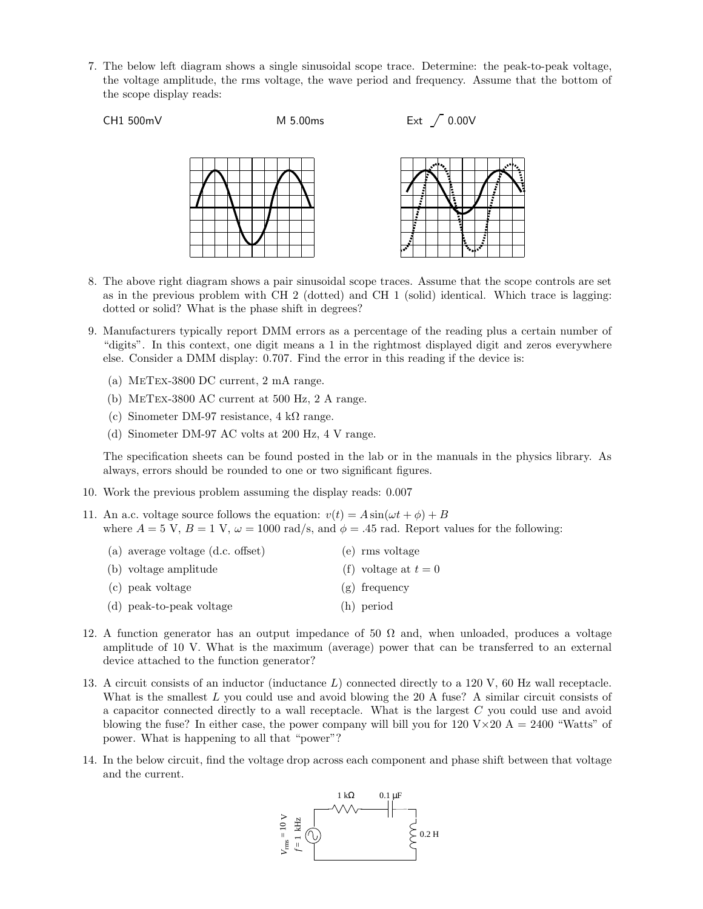7. The below left diagram shows a single sinusoidal scope trace. Determine: the peak-to-peak voltage, the voltage amplitude, the rms voltage, the wave period and frequency. Assume that the bottom of the scope display reads:

```
CH1 500 \text{mV} M 5.00ms Ext \bigg/ 0.00 \text{V}
```


- 8. The above right diagram shows a pair sinusoidal scope traces. Assume that the scope controls are set as in the previous problem with CH 2 (dotted) and CH 1 (solid) identical. Which trace is lagging: dotted or solid? What is the phase shift in degrees?
- 9. Manufacturers typically report DMM errors as a percentage of the reading plus a certain number of "digits". In this context, one digit means a 1 in the rightmost displayed digit and zeros everywhere else. Consider a DMM display: 0.707. Find the error in this reading if the device is:
	- (a) MeTex-3800 DC current, 2 mA range.
	- (b) MeTex-3800 AC current at 500 Hz, 2 A range.
	- (c) Sinometer DM-97 resistance,  $4 \text{ k}\Omega$  range.
	- (d) Sinometer DM-97 AC volts at 200 Hz, 4 V range.

The specification sheets can be found posted in the lab or in the manuals in the physics library. As always, errors should be rounded to one or two significant figures.

- 10. Work the previous problem assuming the display reads: 0.007
- 11. An a.c. voltage source follows the equation:  $v(t) = A \sin(\omega t + \phi) + B$ where  $A = 5$  V,  $B = 1$  V,  $\omega = 1000$  rad/s, and  $\phi = .45$  rad. Report values for the following:

| (a) average voltage $(d.c.$ offset) | (e) rms voltage      |
|-------------------------------------|----------------------|
| (b) voltage amplitude               | (f) voltage at $t=0$ |
| (c) peak voltage                    | $(g)$ frequency      |
| (d) peak-to-peak voltage            | (h) period           |

- 12. A function generator has an output impedance of 50  $\Omega$  and, when unloaded, produces a voltage amplitude of 10 V. What is the maximum (average) power that can be transferred to an external device attached to the function generator?
- 13. A circuit consists of an inductor (inductance L) connected directly to a 120 V, 60 Hz wall receptacle. What is the smallest  $L$  you could use and avoid blowing the 20 A fuse? A similar circuit consists of a capacitor connected directly to a wall receptacle. What is the largest C you could use and avoid blowing the fuse? In either case, the power company will bill you for  $120 \text{ V} \times 20 \text{ A} = 2400$  "Watts" of power. What is happening to all that "power"?
- 14. In the below circuit, find the voltage drop across each component and phase shift between that voltage and the current.

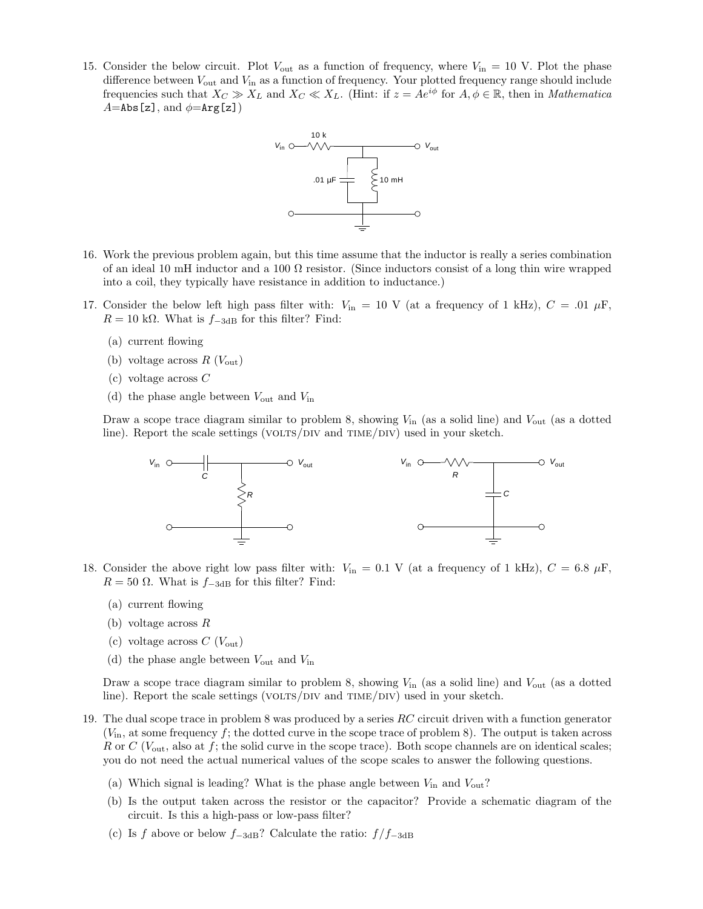15. Consider the below circuit. Plot  $V_{\text{out}}$  as a function of frequency, where  $V_{\text{in}} = 10$  V. Plot the phase difference between  $V_{\text{out}}$  and  $V_{\text{in}}$  as a function of frequency. Your plotted frequency range should include frequencies such that  $X_C \gg X_L$  and  $X_C \ll X_L$ . (Hint: if  $z = Ae^{i\phi}$  for  $A, \phi \in \mathbb{R}$ , then in *Mathematica*  $A=$ Abs[z], and  $\phi=$ Arg[z])



- 16. Work the previous problem again, but this time assume that the inductor is really a series combination of an ideal 10 mH inductor and a 100  $\Omega$  resistor. (Since inductors consist of a long thin wire wrapped into a coil, they typically have resistance in addition to inductance.)
- 17. Consider the below left high pass filter with:  $V_{in} = 10$  V (at a frequency of 1 kHz),  $C = .01 \mu$ F,  $R = 10$  kΩ. What is  $f_{-3dB}$  for this filter? Find:
	- (a) current flowing
	- (b) voltage across  $R(V_{\text{out}})$
	- (c) voltage across C
	- (d) the phase angle between  $V_{\text{out}}$  and  $V_{\text{in}}$

Draw a scope trace diagram similar to problem 8, showing  $V_{\text{in}}$  (as a solid line) and  $V_{\text{out}}$  (as a dotted line). Report the scale settings (VOLTS/DIV and TIME/DIV) used in your sketch.



- 18. Consider the above right low pass filter with:  $V_{in} = 0.1$  V (at a frequency of 1 kHz),  $C = 6.8 \mu$ F,  $R = 50 \Omega$ . What is  $f_{-3dB}$  for this filter? Find:
	- (a) current flowing
	- (b) voltage across R
	- (c) voltage across  $C$  ( $V_{\text{out}}$ )
	- (d) the phase angle between  $V_{\text{out}}$  and  $V_{\text{in}}$

Draw a scope trace diagram similar to problem 8, showing  $V_{\text{in}}$  (as a solid line) and  $V_{\text{out}}$  (as a dotted line). Report the scale settings (VOLTS/DIV and  $TIME/DIV$ ) used in your sketch.

- 19. The dual scope trace in problem 8 was produced by a series RC circuit driven with a function generator  $(V_{\text{in}})$ , at some frequency f; the dotted curve in the scope trace of problem 8). The output is taken across R or C ( $V_{\text{out}}$ , also at f; the solid curve in the scope trace). Both scope channels are on identical scales; you do not need the actual numerical values of the scope scales to answer the following questions.
	- (a) Which signal is leading? What is the phase angle between  $V_{\text{in}}$  and  $V_{\text{out}}$ ?
	- (b) Is the output taken across the resistor or the capacitor? Provide a schematic diagram of the circuit. Is this a high-pass or low-pass filter?
	- (c) Is f above or below  $f_{-3dB}$ ? Calculate the ratio:  $f/f_{-3dB}$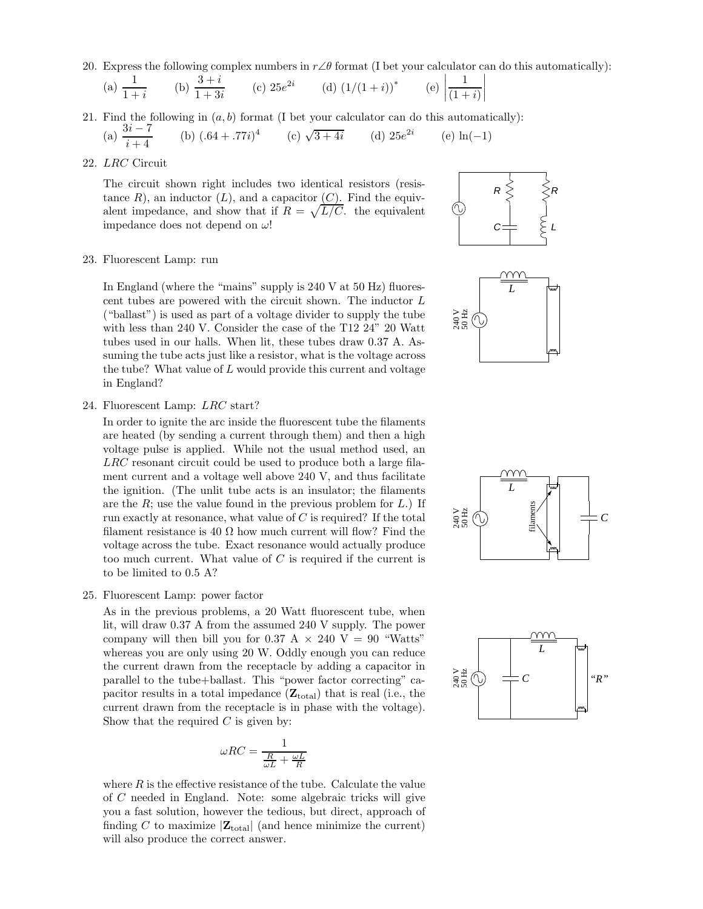20. Express the following complex numbers in  $r\angle\theta$  format (I bet your calculator can do this automatically):

(a) 
$$
\frac{1}{1+i}
$$
 (b)  $\frac{3+i}{1+3i}$  (c)  $25e^{2i}$  (d)  $(1/(1+i))^*$  (e)

21. Find the following in  $(a, b)$  format (I bet your calculator can do this automatically):

(a)  $\frac{3i-7}{i+4}$ 

(b) 
$$
(.64 + .77i)^4
$$
 (c)  $\sqrt{3 + 4i}$  (d)  $25e^{2i}$  (e)  $\ln(-1)$ 

22. LRC Circuit

The circuit shown right includes two identical resistors (resistance R), an inductor  $(L)$ , and a capacitor  $(C)$ . Find the equivalent impedance, and show that if  $R = \sqrt{L/C}$ . the equivalent impedance does not depend on  $\omega$ !



 $\overline{\phantom{a}}$  $\overline{\phantom{a}}$  $\overline{\phantom{a}}$  $\overline{\phantom{a}}$ 

1  $(1 + i)$   $\overline{\phantom{a}}$  $\overline{\phantom{a}}$  $\overline{\phantom{a}}$  $\mid$ 

## 23. Fluorescent Lamp: run

In England (where the "mains" supply is 240 V at 50 Hz) fluorescent tubes are powered with the circuit shown. The inductor L ("ballast") is used as part of a voltage divider to supply the tube with less than 240 V. Consider the case of the T12 24" 20 Watt tubes used in our halls. When lit, these tubes draw 0.37 A. Assuming the tube acts just like a resistor, what is the voltage across the tube? What value of  $L$  would provide this current and voltage in England?



24. Fluorescent Lamp: LRC start?

In order to ignite the arc inside the fluorescent tube the filaments are heated (by sending a current through them) and then a high voltage pulse is applied. While not the usual method used, an LRC resonant circuit could be used to produce both a large filament current and a voltage well above 240 V, and thus facilitate the ignition. (The unlit tube acts is an insulator; the filaments are the  $R$ ; use the value found in the previous problem for  $L$ .) If run exactly at resonance, what value of  $C$  is required? If the total filament resistance is 40  $\Omega$  how much current will flow? Find the voltage across the tube. Exact resonance would actually produce too much current. What value of  $C$  is required if the current is to be limited to 0.5 A?

25. Fluorescent Lamp: power factor

As in the previous problems, a 20 Watt fluorescent tube, when lit, will draw 0.37 A from the assumed 240 V supply. The power company will then bill you for 0.37 A  $\times$  240 V = 90 "Watts" whereas you are only using 20 W. Oddly enough you can reduce the current drawn from the receptacle by adding a capacitor in parallel to the tube+ballast. This "power factor correcting" capacitor results in a total impedance  $(\mathbf{Z}_{total})$  that is real (i.e., the current drawn from the receptacle is in phase with the voltage). Show that the required  $C$  is given by:

$$
\omega RC = \frac{1}{\frac{R}{\omega L} + \frac{\omega L}{R}}
$$

where  $R$  is the effective resistance of the tube. Calculate the value of C needed in England. Note: some algebraic tricks will give you a fast solution, however the tedious, but direct, approach of finding C to maximize  $|\mathbf{Z}_{total}|$  (and hence minimize the current) will also produce the correct answer.



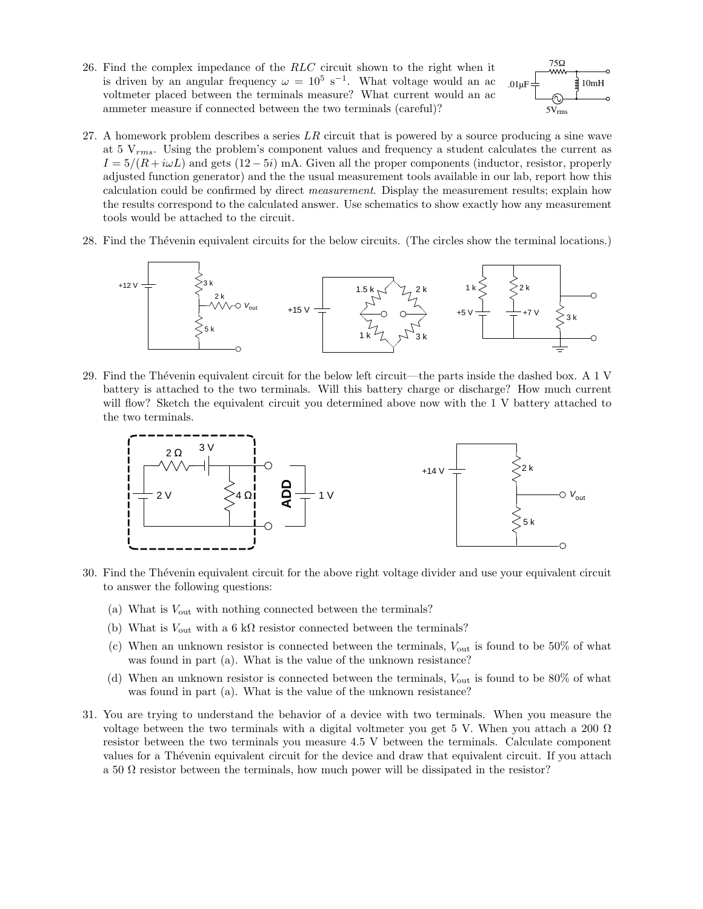26. Find the complex impedance of the RLC circuit shown to the right when it is driven by an angular frequency  $\omega = 10^5 \text{ s}^{-1}$ . What voltage would an ac voltmeter placed between the terminals measure? What current would an ac ammeter measure if connected between the two terminals (careful)?



- 27. A homework problem describes a series  $LR$  circuit that is powered by a source producing a sine wave at 5  $V_{rms}$ . Using the problem's component values and frequency a student calculates the current as  $I = 5/(R + i\omega L)$  and gets  $(12 - 5i)$  mA. Given all the proper components (inductor, resistor, properly adjusted function generator) and the the usual measurement tools available in our lab, report how this calculation could be confirmed by direct *measurement*. Display the measurement results; explain how the results correspond to the calculated answer. Use schematics to show exactly how any measurement tools would be attached to the circuit.
- 28. Find the Thévenin equivalent circuits for the below circuits. (The circles show the terminal locations.)



29. Find the Thévenin equivalent circuit for the below left circuit—the parts inside the dashed box. A 1 V battery is attached to the two terminals. Will this battery charge or discharge? How much current will flow? Sketch the equivalent circuit you determined above now with the 1 V battery attached to the two terminals.



- 30. Find the Th´evenin equivalent circuit for the above right voltage divider and use your equivalent circuit to answer the following questions:
	- (a) What is  $V_{\text{out}}$  with nothing connected between the terminals?
	- (b) What is  $V_{\text{out}}$  with a 6 k $\Omega$  resistor connected between the terminals?
	- (c) When an unknown resistor is connected between the terminals,  $V_{\text{out}}$  is found to be 50% of what was found in part (a). What is the value of the unknown resistance?
	- (d) When an unknown resistor is connected between the terminals,  $V_{\text{out}}$  is found to be 80% of what was found in part (a). What is the value of the unknown resistance?
- 31. You are trying to understand the behavior of a device with two terminals. When you measure the voltage between the two terminals with a digital voltmeter you get 5 V. When you attach a 200  $\Omega$ resistor between the two terminals you measure 4.5 V between the terminals. Calculate component values for a Thévenin equivalent circuit for the device and draw that equivalent circuit. If you attach a 50  $\Omega$  resistor between the terminals, how much power will be dissipated in the resistor?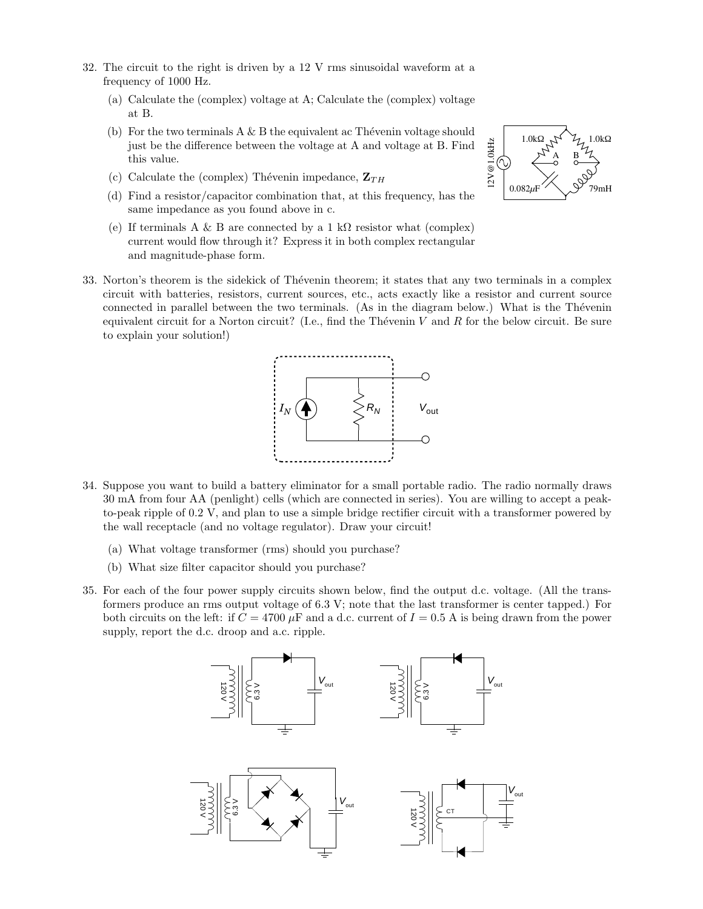- 32. The circuit to the right is driven by a 12 V rms sinusoidal waveform at a frequency of 1000 Hz.
	- (a) Calculate the (complex) voltage at A; Calculate the (complex) voltage at B.
	- (b) For the two terminals  $A \& B$  the equivalent ac Thévenin voltage should just be the difference between the voltage at A and voltage at B. Find this value.
	- (c) Calculate the (complex) Thévenin impedance,  $\mathbf{Z}_{TH}$
	- (d) Find a resistor/capacitor combination that, at this frequency, has the same impedance as you found above in c.
	- (e) If terminals A & B are connected by a 1 k $\Omega$  resistor what (complex) current would flow through it? Express it in both complex rectangular and magnitude-phase form.
- 33. Norton's theorem is the sidekick of Thévenin theorem; it states that any two terminals in a complex circuit with batteries, resistors, current sources, etc., acts exactly like a resistor and current source connected in parallel between the two terminals. (As in the diagram below.) What is the Thévenin equivalent circuit for a Norton circuit? (I.e., find the Thévenin V and R for the below circuit. Be sure to explain your solution!)



- 34. Suppose you want to build a battery eliminator for a small portable radio. The radio normally draws 30 mA from four AA (penlight) cells (which are connected in series). You are willing to accept a peakto-peak ripple of 0.2 V, and plan to use a simple bridge rectifier circuit with a transformer powered by the wall receptacle (and no voltage regulator). Draw your circuit!
	- (a) What voltage transformer (rms) should you purchase?
	- (b) What size filter capacitor should you purchase?
- 35. For each of the four power supply circuits shown below, find the output d.c. voltage. (All the transformers produce an rms output voltage of 6.3 V; note that the last transformer is center tapped.) For both circuits on the left: if  $C = 4700 \mu$ F and a d.c. current of  $I = 0.5$  A is being drawn from the power supply, report the d.c. droop and a.c. ripple.



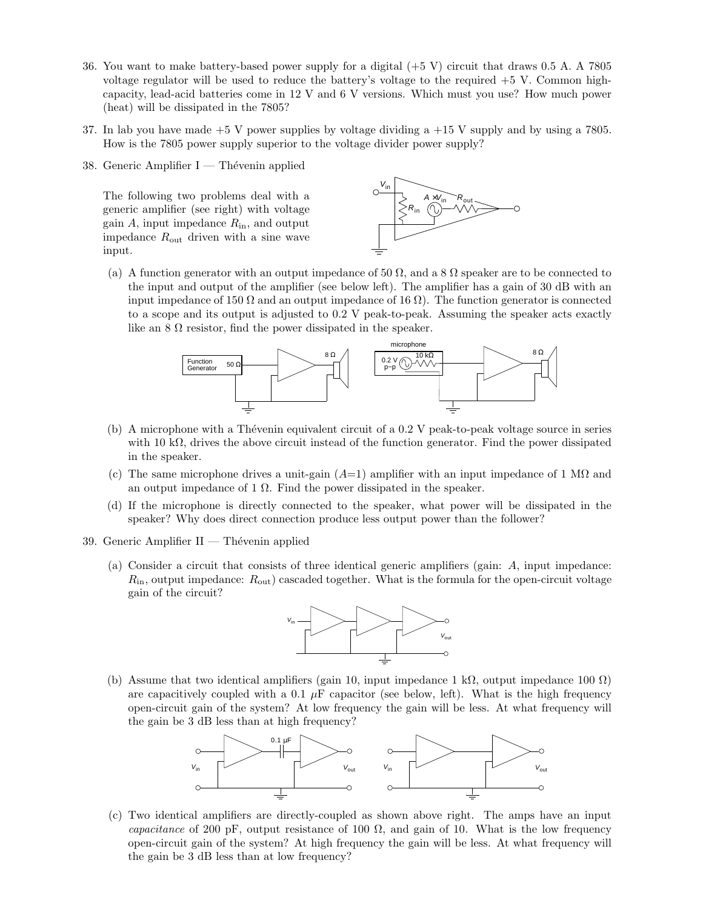- 36. You want to make battery-based power supply for a digital (+5 V) circuit that draws 0.5 A. A 7805 voltage regulator will be used to reduce the battery's voltage to the required +5 V. Common highcapacity, lead-acid batteries come in 12 V and 6 V versions. Which must you use? How much power (heat) will be dissipated in the 7805?
- 37. In lab you have made +5 V power supplies by voltage dividing a +15 V supply and by using a 7805. How is the 7805 power supply superior to the voltage divider power supply?
- 38. Generic Amplifier  $I -$  Thévenin applied

The following two problems deal with a generic amplifier (see right) with voltage gain  $A$ , input impedance  $R_{\rm in}$ , and output impedance  $R_{\text{out}}$  driven with a sine wave input.



(a) A function generator with an output impedance of 50  $\Omega$ , and a 8  $\Omega$  speaker are to be connected to the input and output of the amplifier (see below left). The amplifier has a gain of 30 dB with an input impedance of 150  $\Omega$  and an output impedance of 16  $\Omega$ ). The function generator is connected to a scope and its output is adjusted to 0.2 V peak-to-peak. Assuming the speaker acts exactly like an  $8 \Omega$  resistor, find the power dissipated in the speaker.



- (b) A microphone with a Thévenin equivalent circuit of a 0.2 V peak-to-peak voltage source in series with 10 k $\Omega$ , drives the above circuit instead of the function generator. Find the power dissipated in the speaker.
- (c) The same microphone drives a unit-gain  $(A=1)$  amplifier with an input impedance of 1 M $\Omega$  and an output impedance of 1  $\Omega$ . Find the power dissipated in the speaker.
- (d) If the microphone is directly connected to the speaker, what power will be dissipated in the speaker? Why does direct connection produce less output power than the follower?
- 39. Generic Amplifier  $II$  Thévenin applied
	- (a) Consider a circuit that consists of three identical generic amplifiers (gain: A, input impedance:  $R_{\rm in}$ , output impedance:  $R_{\rm out}$ ) cascaded together. What is the formula for the open-circuit voltage gain of the circuit?



(b) Assume that two identical amplifiers (gain 10, input impedance 1 kΩ, output impedance 100  $\Omega$ ) are capacitively coupled with a 0.1  $\mu$ F capacitor (see below, left). What is the high frequency open-circuit gain of the system? At low frequency the gain will be less. At what frequency will the gain be 3 dB less than at high frequency?



(c) Two identical amplifiers are directly-coupled as shown above right. The amps have an input capacitance of 200 pF, output resistance of 100  $\Omega$ , and gain of 10. What is the low frequency open-circuit gain of the system? At high frequency the gain will be less. At what frequency will the gain be 3 dB less than at low frequency?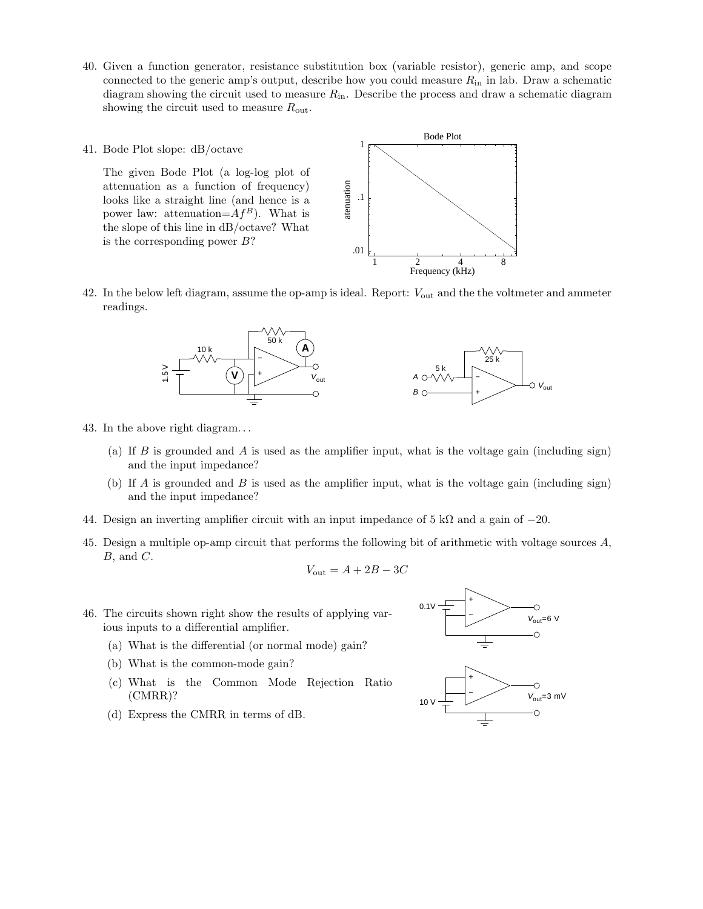- 40. Given a function generator, resistance substitution box (variable resistor), generic amp, and scope connected to the generic amp's output, describe how you could measure  $R_{\rm in}$  in lab. Draw a schematic diagram showing the circuit used to measure  $R_{\rm in}$ . Describe the process and draw a schematic diagram showing the circuit used to measure  $R_{\text{out}}$ .
- 41. Bode Plot slope: dB/octave

The given Bode Plot (a log-log plot of attenuation as a function of frequency) looks like a straight line (and hence is a power law: attenuation= $Af^B$ ). What is the slope of this line in dB/octave? What is the corresponding power  $B$ ?



42. In the below left diagram, assume the op-amp is ideal. Report:  $V_{\text{out}}$  and the the voltmeter and ammeter readings.



- 43. In the above right diagram. . .
	- (a) If B is grounded and A is used as the amplifier input, what is the voltage gain (including sign) and the input impedance?
	- (b) If A is grounded and B is used as the amplifier input, what is the voltage gain (including sign) and the input impedance?
- 44. Design an inverting amplifier circuit with an input impedance of 5 kΩ and a gain of  $-20$ .
- 45. Design a multiple op-amp circuit that performs the following bit of arithmetic with voltage sources A,  $B$ , and  $C$ .

$$
V_{\text{out}} = A + 2B - 3C
$$

- 46. The circuits shown right show the results of applying various inputs to a differential amplifier.
	- (a) What is the differential (or normal mode) gain?
	- (b) What is the common-mode gain?
	- (c) What is the Common Mode Rejection Ratio (CMRR)?



(d) Express the CMRR in terms of dB.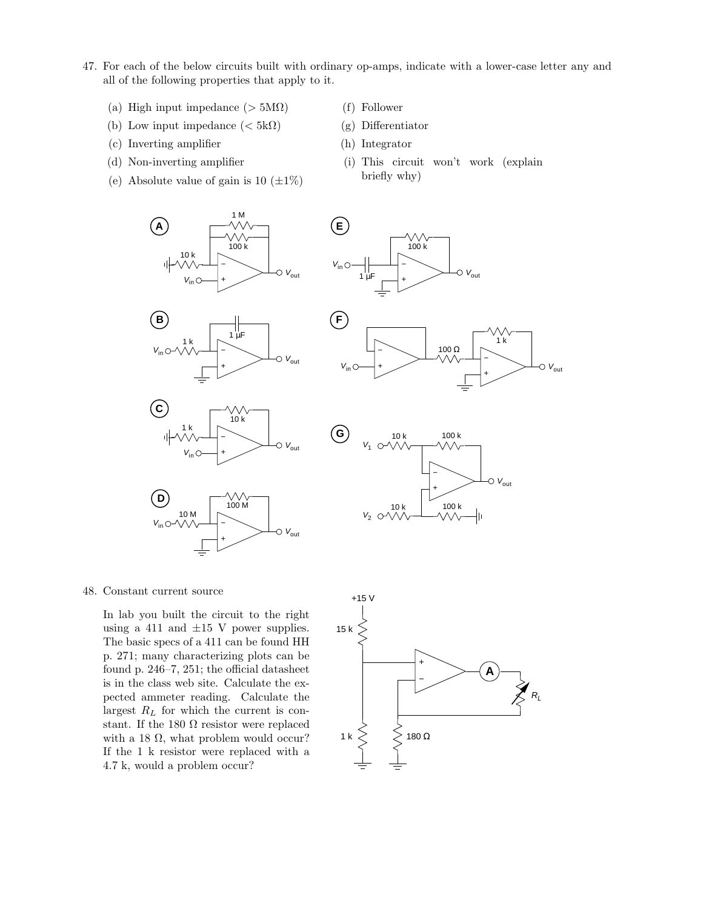47. For each of the below circuits built with ordinary op-amps, indicate with a lower-case letter any and all of the following properties that apply to it.

 $V_{\text{in}} \bigcirc$ 

**E**

 $1 \mu$ F

- (a) High input impedance ( $> 5M\Omega$ )
- (b) Low input impedance  $\left( < 5 \text{k}\Omega \right)$
- (c) Inverting amplifier
- (d) Non-inverting amplifier
- (e) Absolute value of gain is 10  $(\pm 1\%)$
- (f) Follower
- (g) Differentiator

+ −

100 k

VΛ,

- (h) Integrator
- (i) This circuit won't work (explain briefly why)







 $\begin{array}{c}\n\bigvee \wedge \ \uparrow$  100 M

+ −

 $\circ$   $V_{\text{out}}$ 



 $V_{\text{out}}$ 



48. Constant current source

 $V_{\text{in}}$   $\bigcirc$ 

**D**

10 M

In lab you built the circuit to the right using a 411 and  $\pm 15$  V power supplies. The basic specs of a 411 can be found HH p. 271; many characterizing plots can be found p. 246–7, 251; the official datasheet is in the class web site. Calculate the expected ammeter reading. Calculate the largest  $R_L$  for which the current is constant. If the 180  $\Omega$  resistor were replaced with a 18  $\Omega$ , what problem would occur? If the 1 k resistor were replaced with a 4.7 k, would a problem occur?

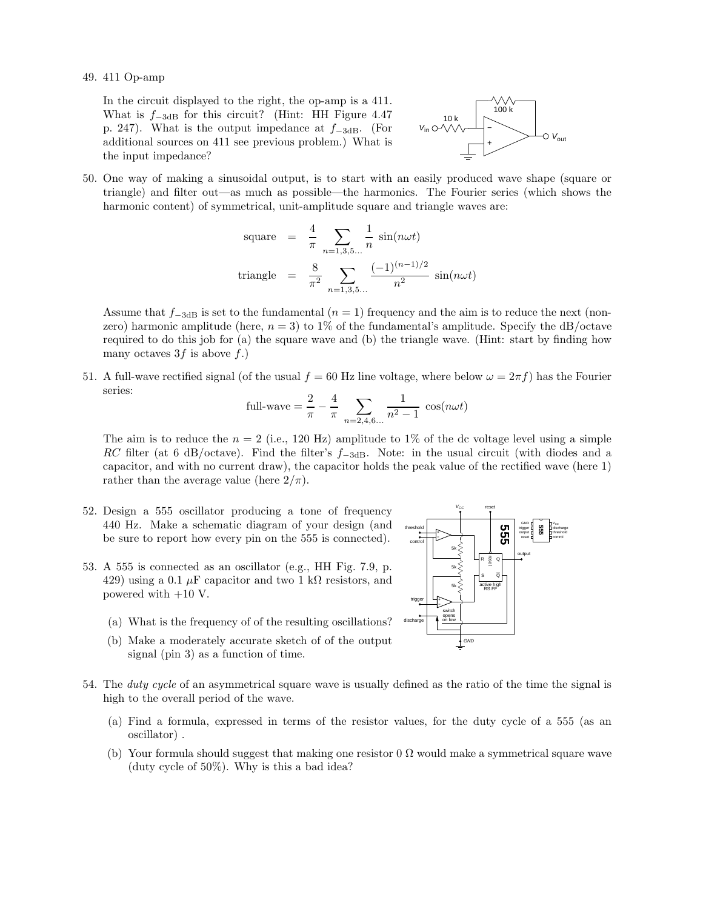49. 411 Op-amp

In the circuit displayed to the right, the op-amp is a 411. What is  $f_{-3dB}$  for this circuit? (Hint: HH Figure 4.47 p. 247). What is the output impedance at  $f_{-3dB}$ . (For additional sources on 411 see previous problem.) What is the input impedance?



50. One way of making a sinusoidal output, is to start with an easily produced wave shape (square or triangle) and filter out—as much as possible—the harmonics. The Fourier series (which shows the harmonic content) of symmetrical, unit-amplitude square and triangle waves are:

square = 
$$
\frac{4}{\pi} \sum_{n=1,3,5...} \frac{1}{n} \sin(n\omega t)
$$
  
triangle =  $\frac{8}{\pi^2} \sum_{n=1,3,5...} \frac{(-1)^{(n-1)/2}}{n^2} \sin(n\omega t)$ 

Assume that  $f_{-3dB}$  is set to the fundamental  $(n = 1)$  frequency and the aim is to reduce the next (nonzero) harmonic amplitude (here,  $n = 3$ ) to 1% of the fundamental's amplitude. Specify the dB/octave required to do this job for (a) the square wave and (b) the triangle wave. (Hint: start by finding how many octaves  $3f$  is above  $f$ .)

51. A full-wave rectified signal (of the usual  $f = 60$  Hz line voltage, where below  $\omega = 2\pi f$ ) has the Fourier series:

full-wave 
$$
=
$$
  $\frac{2}{\pi} - \frac{4}{\pi} \sum_{n=2,4,6...} \frac{1}{n^2 - 1} \cos(n\omega t)$ 

The aim is to reduce the  $n = 2$  (i.e., 120 Hz) amplitude to 1% of the dc voltage level using a simple RC filter (at 6 dB/octave). Find the filter's  $f_{-3dB}$ . Note: in the usual circuit (with diodes and a capacitor, and with no current draw), the capacitor holds the peak value of the rectified wave (here 1) rather than the average value (here  $2/\pi$ ).

- 52. Design a 555 oscillator producing a tone of frequency 440 Hz. Make a schematic diagram of your design (and be sure to report how every pin on the 555 is connected).
- 53. A 555 is connected as an oscillator (e.g., HH Fig. 7.9, p. 429) using a 0.1  $\mu$ F capacitor and two 1 k $\Omega$  resistors, and powered with +10 V.
	- (a) What is the frequency of of the resulting oscillations?
	- (b) Make a moderately accurate sketch of of the output signal (pin 3) as a function of time.



- (a) Find a formula, expressed in terms of the resistor values, for the duty cycle of a 555 (as an oscillator) .
- (b) Your formula should suggest that making one resistor 0  $\Omega$  would make a symmetrical square wave (duty cycle of 50%). Why is this a bad idea?

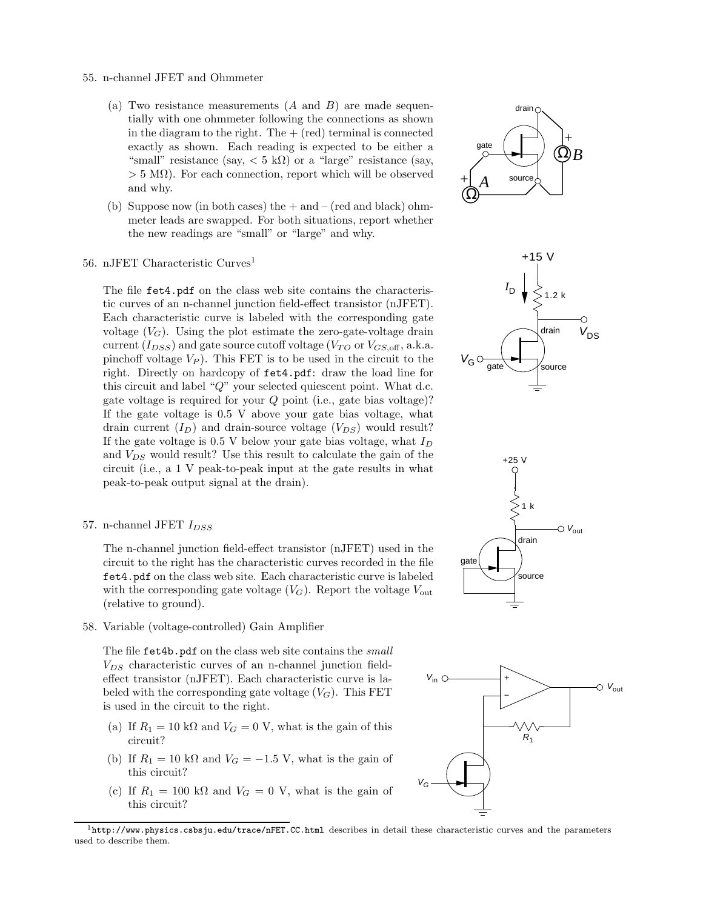- 55. n-channel JFET and Ohmmeter
	- (a) Two resistance measurements  $(A \text{ and } B)$  are made sequentially with one ohmmeter following the connections as shown in the diagram to the right. The  $+$  (red) terminal is connected exactly as shown. Each reading is expected to be either a "small" resistance (say,  $< 5 \text{ k}\Omega$ ) or a "large" resistance (say,  $> 5$  M $\Omega$ ). For each connection, report which will be observed and why.
	- (b) Suppose now (in both cases) the  $+$  and  $-$  (red and black) ohmmeter leads are swapped. For both situations, report whether the new readings are "small" or "large" and why.
- 56. nJFET Characteristic Curves<sup>1</sup>

The file fet4.pdf on the class web site contains the characteristic curves of an n-channel junction field-effect transistor (nJFET). Each characteristic curve is labeled with the corresponding gate voltage  $(V_G)$ . Using the plot estimate the zero-gate-voltage drain current  $(I_{DSS})$  and gate source cutoff voltage  $(V_{TO}$  or  $V_{GS,off}$ , a.k.a. pinchoff voltage  $V_P$ ). This FET is to be used in the circuit to the right. Directly on hardcopy of fet4.pdf: draw the load line for this circuit and label " $Q$ " your selected quiescent point. What d.c. gate voltage is required for your  $Q$  point (i.e., gate bias voltage)? If the gate voltage is 0.5 V above your gate bias voltage, what drain current  $(I_D)$  and drain-source voltage  $(V_{DS})$  would result? If the gate voltage is  $0.5$  V below your gate bias voltage, what  $I_D$ and  $V_{DS}$  would result? Use this result to calculate the gain of the circuit (i.e., a 1 V peak-to-peak input at the gate results in what peak-to-peak output signal at the drain).

57. n-channel JFET  $I_{DSS}$ 

The n-channel junction field-effect transistor (nJFET) used in the circuit to the right has the characteristic curves recorded in the file fet4.pdf on the class web site. Each characteristic curve is labeled with the corresponding gate voltage  $(V_G)$ . Report the voltage  $V_{\text{out}}$ (relative to ground).

58. Variable (voltage-controlled) Gain Amplifier

The file fet4b.pdf on the class web site contains the small  $V_{DS}$  characteristic curves of an n-channel junction fieldeffect transistor (nJFET). Each characteristic curve is labeled with the corresponding gate voltage  $(V_G)$ . This FET is used in the circuit to the right.

- (a) If  $R_1 = 10 \text{ k}\Omega$  and  $V_G = 0 \text{ V}$ , what is the gain of this circuit?
- (b) If  $R_1 = 10 \text{ k}\Omega$  and  $V_G = -1.5 \text{ V}$ , what is the gain of this circuit?
- (c) If  $R_1 = 100 \text{ k}\Omega$  and  $V_G = 0 \text{ V}$ , what is the gain of this circuit?









 $^1$ http://www.physics.csbsju.edu/trace/nFET.CC.html describes in detail these characteristic curves and the parameters used to describe them.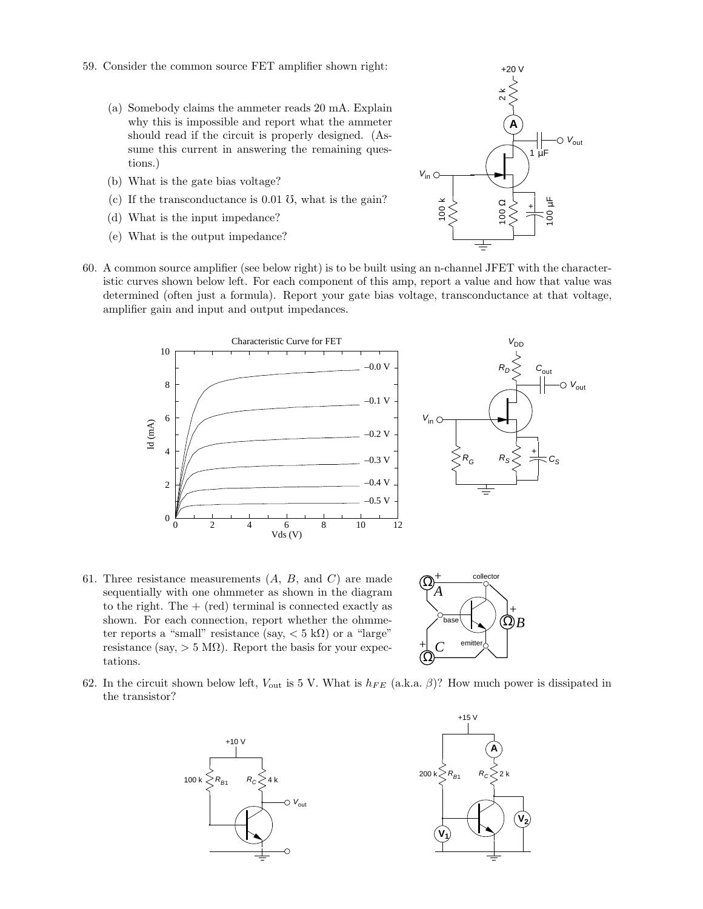- 59. Consider the common source FET amplifier shown right:
	- (a) Somebody claims the ammeter reads 20 mA. Explain why this is impossible and report what the ammeter should read if the circuit is properly designed. (Assume this current in answering the remaining questions.)
	- (b) What is the gate bias voltage?
	- (c) If the transconductance is  $0.01 \text{ }\mathrm{U}$ , what is the gain?
	- (d) What is the input impedance?
	- (e) What is the output impedance?
- 60. A common source amplifier (see below right) is to be built using an n-channel JFET with the characteristic curves shown below left. For each component of this amp, report a value and how that value was determined (often just a formula). Report your gate bias voltage, transconductance at that voltage, amplifier gain and input and output impedances.





61. Three resistance measurements  $(A, B, \text{ and } C)$  are made sequentially with one ohmmeter as shown in the diagram to the right. The  $+$  (red) terminal is connected exactly as shown. For each connection, report whether the ohmmeter reports a "small" resistance (say,  $< 5 \text{ k}\Omega$ ) or a "large" resistance (say,  $> 5 \text{ M}\Omega$ ). Report the basis for your expectations.  $\mathbb{Q}$ 



62. In the circuit shown below left,  $V_{\text{out}}$  is 5 V. What is  $h_{FE}$  (a.k.a.  $\beta$ )? How much power is dissipated in the transistor?





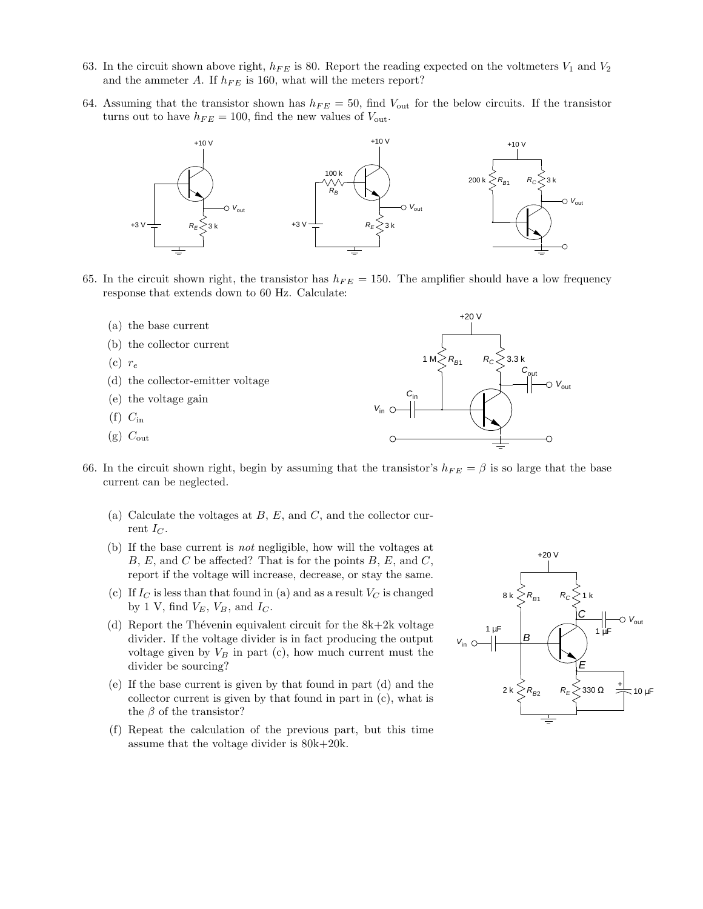- 63. In the circuit shown above right,  $h_{FE}$  is 80. Report the reading expected on the voltmeters  $V_1$  and  $V_2$ and the ammeter A. If  $h_{FE}$  is 160, what will the meters report?
- 64. Assuming that the transistor shown has  $h_{FE} = 50$ , find  $V_{\text{out}}$  for the below circuits. If the transistor turns out to have  $h_{FE} = 100$ , find the new values of  $V_{\text{out}}$ .



- 65. In the circuit shown right, the transistor has  $h_{FE} = 150$ . The amplifier should have a low frequency response that extends down to 60 Hz. Calculate:
	- (a) the base current
	- (b) the collector current
	- $(c)$   $r_e$
	- (d) the collector-emitter voltage
	- (e) the voltage gain
	- $(f)$   $C_{\rm in}$
	- $(g)$   $C_{\text{out}}$



- 66. In the circuit shown right, begin by assuming that the transistor's  $h_{FE} = \beta$  is so large that the base current can be neglected.
	- (a) Calculate the voltages at  $B, E$ , and  $C$ , and the collector current  $I_C$ .
	- (b) If the base current is not negligible, how will the voltages at  $B, E,$  and  $C$  be affected? That is for the points  $B, E$ , and  $C$ , report if the voltage will increase, decrease, or stay the same.
	- (c) If  $I_C$  is less than that found in (a) and as a result  $V_C$  is changed by 1 V, find  $V_E$ ,  $V_B$ , and  $I_C$ .
	- (d) Report the Thévenin equivalent circuit for the  $8k+2k$  voltage divider. If the voltage divider is in fact producing the output voltage given by  $V_B$  in part (c), how much current must the divider be sourcing?
	- (e) If the base current is given by that found in part (d) and the collector current is given by that found in part in (c), what is the  $\beta$  of the transistor?
	- (f) Repeat the calculation of the previous part, but this time assume that the voltage divider is 80k+20k.

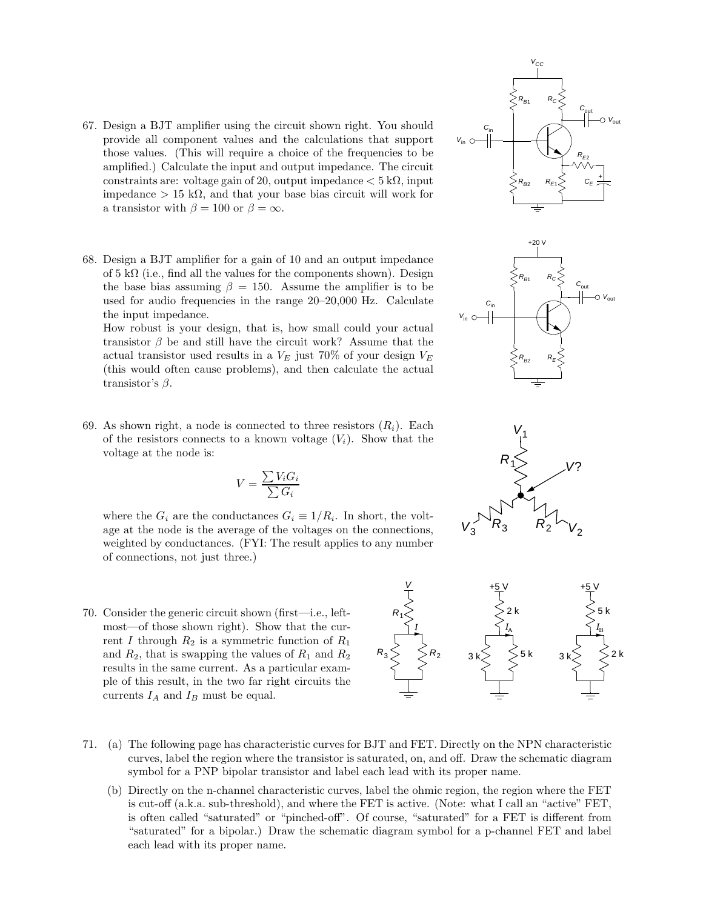- 67. Design a BJT amplifier using the circuit shown right. You should provide all component values and the calculations that support those values. (This will require a choice of the frequencies to be amplified.) Calculate the input and output impedance. The circuit constraints are: voltage gain of 20, output impedance  $< 5 \text{ k}\Omega$ , input impedance > 15 kΩ, and that your base bias circuit will work for a transistor with  $\beta = 100$  or  $\beta = \infty$ .
- 68. Design a BJT amplifier for a gain of 10 and an output impedance of  $5 \text{ k}\Omega$  (i.e., find all the values for the components shown). Design the base bias assuming  $\beta = 150$ . Assume the amplifier is to be used for audio frequencies in the range 20–20,000 Hz. Calculate the input impedance.

How robust is your design, that is, how small could your actual transistor  $\beta$  be and still have the circuit work? Assume that the actual transistor used results in a  $V_E$  just 70% of your design  $V_E$ (this would often cause problems), and then calculate the actual transistor's  $\beta$ .

69. As shown right, a node is connected to three resistors  $(R_i)$ . Each of the resistors connects to a known voltage  $(V_i)$ . Show that the voltage at the node is:

$$
V = \frac{\sum V_i G_i}{\sum G_i}
$$

where the  $G_i$  are the conductances  $G_i \equiv 1/R_i$ . In short, the voltage at the node is the average of the voltages on the connections, weighted by conductances. (FYI: The result applies to any number of connections, not just three.)

- 70. Consider the generic circuit shown (first—i.e., leftmost—of those shown right). Show that the current I through  $R_2$  is a symmetric function of  $R_1$ and  $R_2$ , that is swapping the values of  $R_1$  and  $R_2$ results in the same current. As a particular example of this result, in the two far right circuits the currents  $I_A$  and  $I_B$  must be equal.
- 71. (a) The following page has characteristic curves for BJT and FET. Directly on the NPN characteristic curves, label the region where the transistor is saturated, on, and off. Draw the schematic diagram symbol for a PNP bipolar transistor and label each lead with its proper name.
	- (b) Directly on the n-channel characteristic curves, label the ohmic region, the region where the FET is cut-off (a.k.a. sub-threshold), and where the FET is active. (Note: what I call an "active" FET, is often called "saturated" or "pinched-off". Of course, "saturated" for a FET is different from "saturated" for a bipolar.) Draw the schematic diagram symbol for a p-channel FET and label each lead with its proper name.







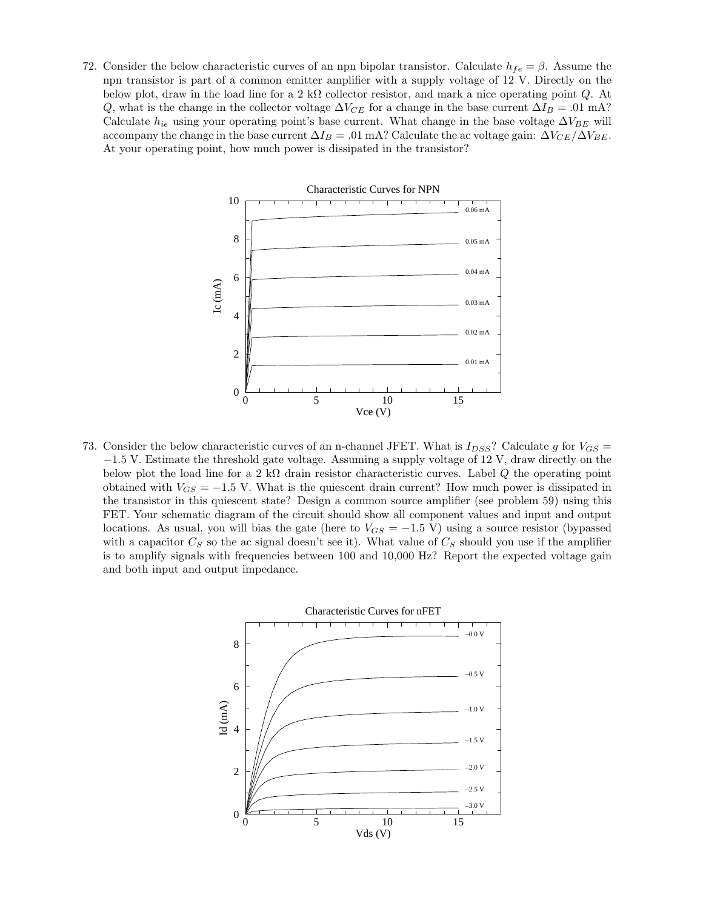72. Consider the below characteristic curves of an npn bipolar transistor. Calculate  $h_{fe} = \beta$ . Assume the npn transistor is part of a common emitter amplifier with a supply voltage of 12 V. Directly on the below plot, draw in the load line for a 2 kΩ collector resistor, and mark a nice operating point  $Q$ . At Q, what is the change in the collector voltage  $\Delta V_{CE}$  for a change in the base current  $\Delta I_B = .01$  mA? Calculate  $h_{ie}$  using your operating point's base current. What change in the base voltage  $\Delta V_{BE}$  will accompany the change in the base current  $\Delta I_B = .01$  mA? Calculate the ac voltage gain:  $\Delta V_{CE}/\Delta V_{BE}$ . At your operating point, how much power is dissipated in the transistor?



73. Consider the below characteristic curves of an n-channel JFET. What is  $I_{DSS}$ ? Calculate g for  $V_{GS}$  = −1.5 V. Estimate the threshold gate voltage. Assuming a supply voltage of 12 V, draw directly on the below plot the load line for a 2 kΩ drain resistor characteristic curves. Label Q the operating point obtained with  $V_{GS} = -1.5$  V. What is the quiescent drain current? How much power is dissipated in the transistor in this quiescent state? Design a common source amplifier (see problem 59) using this FET. Your schematic diagram of the circuit should show all component values and input and output locations. As usual, you will bias the gate (here to  $V_{GS} = -1.5$  V) using a source resistor (bypassed with a capacitor  $C_S$  so the ac signal doesn't see it). What value of  $C_S$  should you use if the amplifier is to amplify signals with frequencies between 100 and 10,000 Hz? Report the expected voltage gain and both input and output impedance.

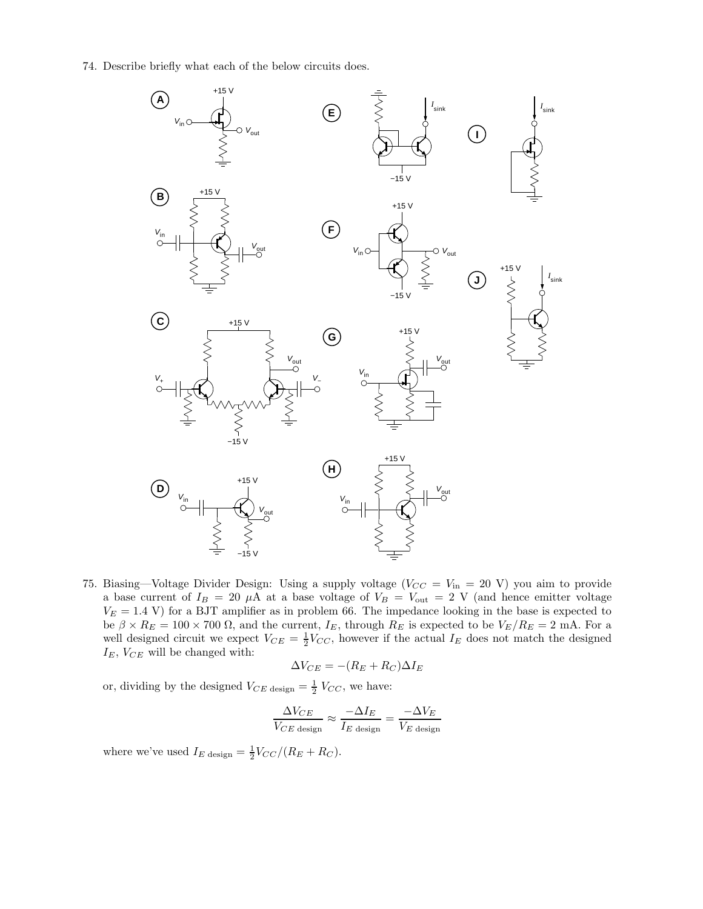74. Describe briefly what each of the below circuits does.



75. Biasing—Voltage Divider Design: Using a supply voltage ( $V_{CC} = V_{in} = 20$  V) you aim to provide a base current of  $I_B = 20 \mu A$  at a base voltage of  $V_B = V_{\text{out}} = 2 \text{ V}$  (and hence emitter voltage  $V_E = 1.4$  V) for a BJT amplifier as in problem 66. The impedance looking in the base is expected to be  $\beta \times R_E = 100 \times 700 \Omega$ , and the current,  $I_E$ , through  $R_E$  is expected to be  $V_E/R_E = 2 \text{ mA}$ . For a well designed circuit we expect  $V_{CE} = \frac{1}{2} V_{CC}$ , however if the actual  $I_E$  does not match the designed  $I_E$ ,  $V_{CE}$  will be changed with:

$$
\Delta V_{CE} = -(R_E + R_C)\Delta I_E
$$

or, dividing by the designed  $V_{CE \text{ design}} = \frac{1}{2} V_{CC}$ , we have:

$$
\frac{\Delta V_{CE}}{V_{CE \text{ design}}} \approx \frac{-\Delta I_E}{I_E \text{ design}} = \frac{-\Delta V_E}{V_E \text{ design}}
$$

where we've used  $I_E$  design  $=$   $\frac{1}{2}$  $V_{CC}/(R_E + R_C)$ .